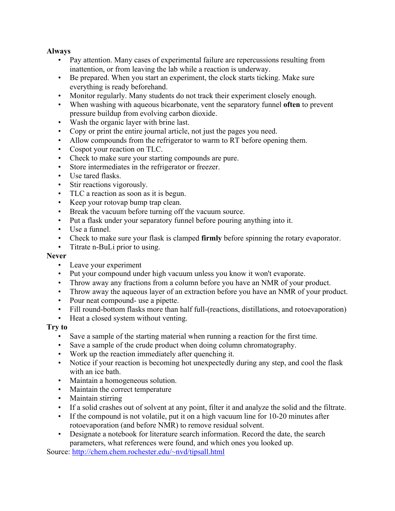## **Always**

- Pay attention. Many cases of experimental failure are repercussions resulting from inattention, or from leaving the lab while a reaction is underway.
- Be prepared. When you start an experiment, the clock starts ticking. Make sure everything is ready beforehand.
- Monitor regularly. Many students do not track their experiment closely enough.
- When washing with aqueous bicarbonate, vent the separatory funnel **often** to prevent pressure buildup from evolving carbon dioxide.
- Wash the organic layer with brine last.
- Copy or print the entire journal article, not just the pages you need.
- Allow compounds from the refrigerator to warm to RT before opening them.
- Cospot your reaction on TLC.
- Check to make sure your starting compounds are pure.
- Store intermediates in the refrigerator or freezer.
- Use tared flasks.
- Stir reactions vigorously.
- TLC a reaction as soon as it is begun.
- Keep your rotovap bump trap clean.
- Break the vacuum before turning off the vacuum source.
- Put a flask under your separatory funnel before pouring anything into it.
- Use a funnel.
- Check to make sure your flask is clamped **firmly** before spinning the rotary evaporator.
- Titrate n-BuLi prior to using.

## **Never**

- Leave your experiment
- Put your compound under high vacuum unless you know it won't evaporate.
- Throw away any fractions from a column before you have an NMR of your product.
- Throw away the aqueous layer of an extraction before you have an NMR of your product.
- Pour neat compound- use a pipette.
- Fill round-bottom flasks more than half full-(reactions, distillations, and rotoevaporation)
- Heat a closed system without venting.

## **Try to**

- Save a sample of the starting material when running a reaction for the first time.
- Save a sample of the crude product when doing column chromatography.
- Work up the reaction immediately after quenching it.
- Notice if your reaction is becoming hot unexpectedly during any step, and cool the flask with an ice bath.
- Maintain a homogeneous solution.
- Maintain the correct temperature
- Maintain stirring
- If a solid crashes out of solvent at any point, filter it and analyze the solid and the filtrate.
- If the compound is not volatile, put it on a high vacuum line for 10-20 minutes after rotoevaporation (and before NMR) to remove residual solvent.
- Designate a notebook for literature search information. Record the date, the search parameters, what references were found, and which ones you looked up.

Source: http://chem.chem.rochester.edu/~nvd/tipsall.html